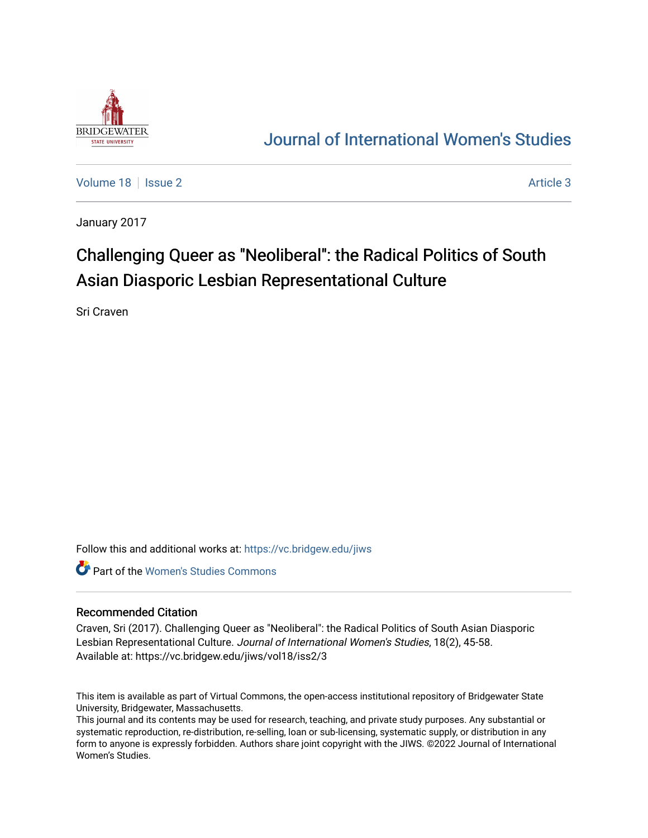

## [Journal of International Women's Studies](https://vc.bridgew.edu/jiws)

[Volume 18](https://vc.bridgew.edu/jiws/vol18) | [Issue 2](https://vc.bridgew.edu/jiws/vol18/iss2) Article 3

January 2017

# Challenging Queer as "Neoliberal": the Radical Politics of South Asian Diasporic Lesbian Representational Culture

Sri Craven

Follow this and additional works at: [https://vc.bridgew.edu/jiws](https://vc.bridgew.edu/jiws?utm_source=vc.bridgew.edu%2Fjiws%2Fvol18%2Fiss2%2F3&utm_medium=PDF&utm_campaign=PDFCoverPages)

Part of the [Women's Studies Commons](http://network.bepress.com/hgg/discipline/561?utm_source=vc.bridgew.edu%2Fjiws%2Fvol18%2Fiss2%2F3&utm_medium=PDF&utm_campaign=PDFCoverPages) 

#### Recommended Citation

Craven, Sri (2017). Challenging Queer as "Neoliberal": the Radical Politics of South Asian Diasporic Lesbian Representational Culture. Journal of International Women's Studies, 18(2), 45-58. Available at: https://vc.bridgew.edu/jiws/vol18/iss2/3

This item is available as part of Virtual Commons, the open-access institutional repository of Bridgewater State University, Bridgewater, Massachusetts.

This journal and its contents may be used for research, teaching, and private study purposes. Any substantial or systematic reproduction, re-distribution, re-selling, loan or sub-licensing, systematic supply, or distribution in any form to anyone is expressly forbidden. Authors share joint copyright with the JIWS. ©2022 Journal of International Women's Studies.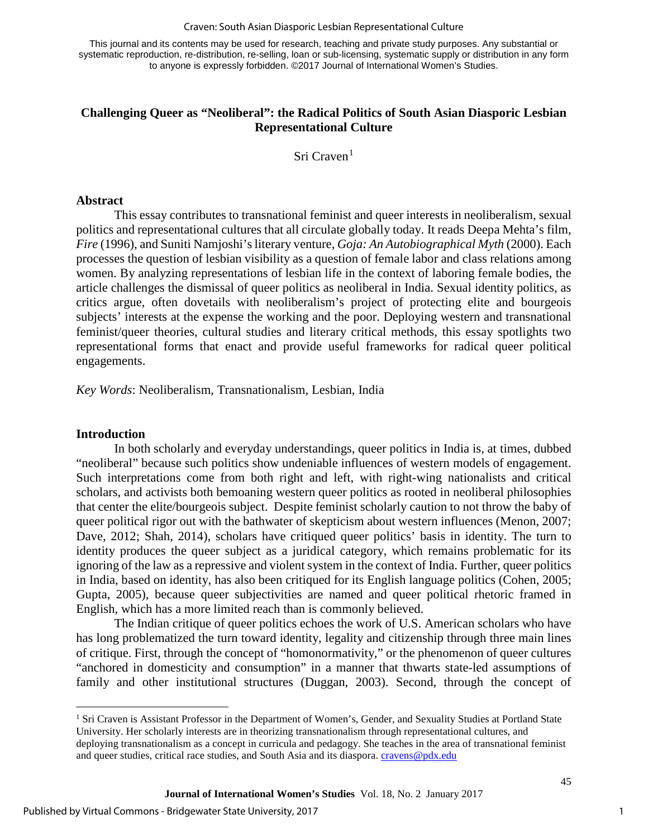#### Craven: South Asian Diasporic Lesbian Representational Culture

This journal and its contents may be used for research, teaching and private study purposes. Any substantial or systematic reproduction, re-distribution, re-selling, loan or sub-licensing, systematic supply or distribution in any form to anyone is expressly forbidden. ©2017 Journal of International Women's Studies.

### **Challenging Queer as "Neoliberal": the Radical Politics of South Asian Diasporic Lesbian Representational Culture**

Sri Craven $1$ 

#### **Abstract**

This essay contributes to transnational feminist and queer interests in neoliberalism, sexual politics and representational cultures that all circulate globally today. It reads Deepa Mehta's film, *Fire* (1996), and Suniti Namjoshi's literary venture, *Goja: An Autobiographical Myth* (2000). Each processes the question of lesbian visibility as a question of female labor and class relations among women. By analyzing representations of lesbian life in the context of laboring female bodies, the article challenges the dismissal of queer politics as neoliberal in India. Sexual identity politics, as critics argue, often dovetails with neoliberalism's project of protecting elite and bourgeois subjects' interests at the expense the working and the poor. Deploying western and transnational feminist/queer theories, cultural studies and literary critical methods, this essay spotlights two representational forms that enact and provide useful frameworks for radical queer political engagements.

*Key Words*: Neoliberalism, Transnationalism, Lesbian, India

#### **Introduction**

 $\overline{a}$ 

In both scholarly and everyday understandings, queer politics in India is, at times, dubbed "neoliberal" because such politics show undeniable influences of western models of engagement. Such interpretations come from both right and left, with right-wing nationalists and critical scholars, and activists both bemoaning western queer politics as rooted in neoliberal philosophies that center the elite/bourgeois subject. Despite feminist scholarly caution to not throw the baby of queer political rigor out with the bathwater of skepticism about western influences (Menon, 2007; Dave, 2012; Shah, 2014), scholars have critiqued queer politics' basis in identity. The turn to identity produces the queer subject as a juridical category, which remains problematic for its ignoring of the law as a repressive and violent system in the context of India. Further, queer politics in India, based on identity, has also been critiqued for its English language politics (Cohen, 2005; Gupta, 2005), because queer subjectivities are named and queer political rhetoric framed in English, which has a more limited reach than is commonly believed.

The Indian critique of queer politics echoes the work of U.S. American scholars who have has long problematized the turn toward identity, legality and citizenship through three main lines of critique. First, through the concept of "homonormativity," or the phenomenon of queer cultures "anchored in domesticity and consumption" in a manner that thwarts state-led assumptions of family and other institutional structures (Duggan, 2003). Second, through the concept of

1

<span id="page-1-0"></span><sup>&</sup>lt;sup>1</sup> Sri Craven is Assistant Professor in the Department of Women's, Gender, and Sexuality Studies at Portland State University. Her scholarly interests are in theorizing transnationalism through representational cultures, and deploying transnationalism as a concept in curricula and pedagogy. She teaches in the area of transnational feminist and queer studies, critical race studies, and South Asia and its diaspora. [cravens@pdx.edu](mailto:cravens@pdx.edu)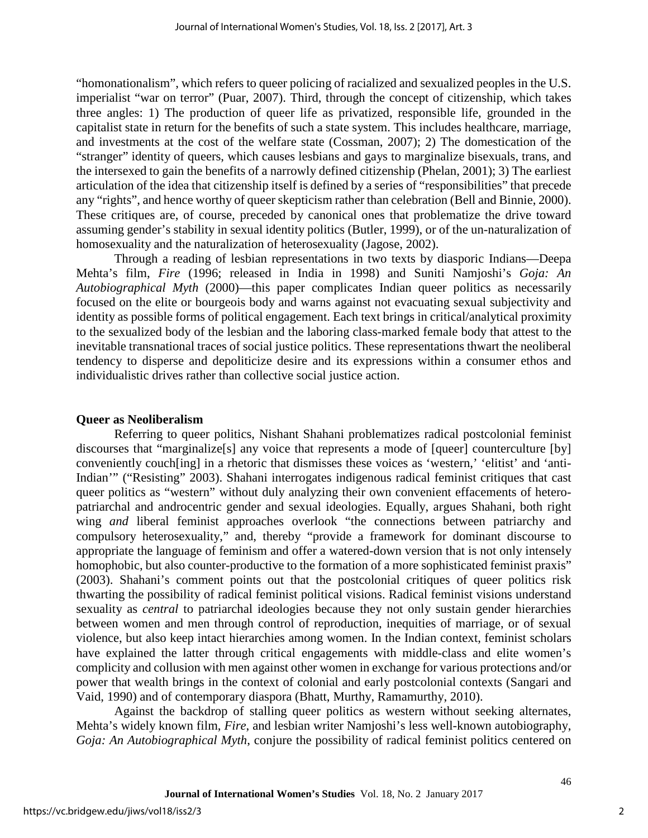"homonationalism", which refers to queer policing of racialized and sexualized peoples in the U.S. imperialist "war on terror" (Puar, 2007). Third, through the concept of citizenship, which takes three angles: 1) The production of queer life as privatized, responsible life, grounded in the capitalist state in return for the benefits of such a state system. This includes healthcare, marriage, and investments at the cost of the welfare state (Cossman, 2007); 2) The domestication of the "stranger" identity of queers, which causes lesbians and gays to marginalize bisexuals, trans, and the intersexed to gain the benefits of a narrowly defined citizenship (Phelan, 2001); 3) The earliest articulation of the idea that citizenship itself is defined by a series of "responsibilities" that precede any "rights", and hence worthy of queer skepticism rather than celebration (Bell and Binnie, 2000). These critiques are, of course, preceded by canonical ones that problematize the drive toward assuming gender's stability in sexual identity politics (Butler, 1999), or of the un-naturalization of homosexuality and the naturalization of heterosexuality (Jagose, 2002).

Through a reading of lesbian representations in two texts by diasporic Indians—Deepa Mehta's film, *Fire* (1996; released in India in 1998) and Suniti Namjoshi's *Goja: An Autobiographical Myth* (2000)—this paper complicates Indian queer politics as necessarily focused on the elite or bourgeois body and warns against not evacuating sexual subjectivity and identity as possible forms of political engagement. Each text brings in critical/analytical proximity to the sexualized body of the lesbian and the laboring class-marked female body that attest to the inevitable transnational traces of social justice politics. These representations thwart the neoliberal tendency to disperse and depoliticize desire and its expressions within a consumer ethos and individualistic drives rather than collective social justice action.

#### **Queer as Neoliberalism**

Referring to queer politics, Nishant Shahani problematizes radical postcolonial feminist discourses that "marginalize[s] any voice that represents a mode of [queer] counterculture [by] conveniently couch[ing] in a rhetoric that dismisses these voices as 'western,' 'elitist' and 'anti-Indian'" ("Resisting" 2003). Shahani interrogates indigenous radical feminist critiques that cast queer politics as "western" without duly analyzing their own convenient effacements of heteropatriarchal and androcentric gender and sexual ideologies. Equally, argues Shahani, both right wing *and* liberal feminist approaches overlook "the connections between patriarchy and compulsory heterosexuality," and, thereby "provide a framework for dominant discourse to appropriate the language of feminism and offer a watered-down version that is not only intensely homophobic, but also counter-productive to the formation of a more sophisticated feminist praxis" (2003). Shahani's comment points out that the postcolonial critiques of queer politics risk thwarting the possibility of radical feminist political visions. Radical feminist visions understand sexuality as *central* to patriarchal ideologies because they not only sustain gender hierarchies between women and men through control of reproduction, inequities of marriage, or of sexual violence, but also keep intact hierarchies among women. In the Indian context, feminist scholars have explained the latter through critical engagements with middle-class and elite women's complicity and collusion with men against other women in exchange for various protections and/or power that wealth brings in the context of colonial and early postcolonial contexts (Sangari and Vaid, 1990) and of contemporary diaspora (Bhatt, Murthy, Ramamurthy, 2010).

Against the backdrop of stalling queer politics as western without seeking alternates, Mehta's widely known film, *Fire*, and lesbian writer Namjoshi's less well-known autobiography, *Goja: An Autobiographical Myth*, conjure the possibility of radical feminist politics centered on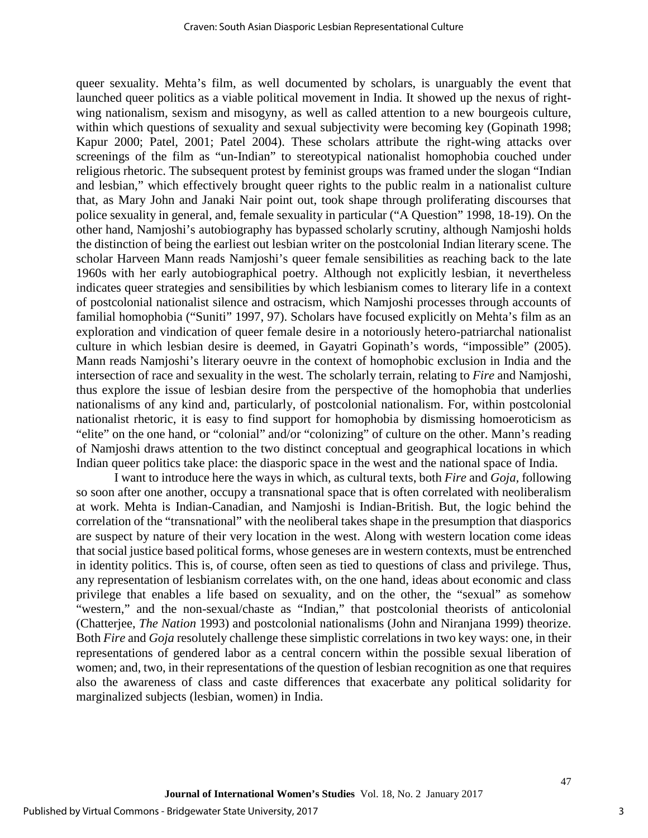queer sexuality. Mehta's film, as well documented by scholars, is unarguably the event that launched queer politics as a viable political movement in India. It showed up the nexus of rightwing nationalism, sexism and misogyny, as well as called attention to a new bourgeois culture, within which questions of sexuality and sexual subjectivity were becoming key (Gopinath 1998; Kapur 2000; Patel, 2001; Patel 2004). These scholars attribute the right-wing attacks over screenings of the film as "un-Indian" to stereotypical nationalist homophobia couched under religious rhetoric. The subsequent protest by feminist groups was framed under the slogan "Indian and lesbian," which effectively brought queer rights to the public realm in a nationalist culture that, as Mary John and Janaki Nair point out, took shape through proliferating discourses that police sexuality in general, and, female sexuality in particular ("A Question" 1998, 18-19). On the other hand, Namjoshi's autobiography has bypassed scholarly scrutiny, although Namjoshi holds the distinction of being the earliest out lesbian writer on the postcolonial Indian literary scene. The scholar Harveen Mann reads Namjoshi's queer female sensibilities as reaching back to the late 1960s with her early autobiographical poetry. Although not explicitly lesbian, it nevertheless indicates queer strategies and sensibilities by which lesbianism comes to literary life in a context of postcolonial nationalist silence and ostracism, which Namjoshi processes through accounts of familial homophobia ("Suniti" 1997, 97). Scholars have focused explicitly on Mehta's film as an exploration and vindication of queer female desire in a notoriously hetero-patriarchal nationalist culture in which lesbian desire is deemed, in Gayatri Gopinath's words, "impossible" (2005). Mann reads Namjoshi's literary oeuvre in the context of homophobic exclusion in India and the intersection of race and sexuality in the west. The scholarly terrain, relating to *Fire* and Namjoshi, thus explore the issue of lesbian desire from the perspective of the homophobia that underlies nationalisms of any kind and, particularly, of postcolonial nationalism. For, within postcolonial nationalist rhetoric, it is easy to find support for homophobia by dismissing homoeroticism as "elite" on the one hand, or "colonial" and/or "colonizing" of culture on the other. Mann's reading of Namjoshi draws attention to the two distinct conceptual and geographical locations in which Indian queer politics take place: the diasporic space in the west and the national space of India.

I want to introduce here the ways in which, as cultural texts, both *Fire* and *Goja,* following so soon after one another, occupy a transnational space that is often correlated with neoliberalism at work. Mehta is Indian-Canadian, and Namjoshi is Indian-British. But, the logic behind the correlation of the "transnational" with the neoliberal takes shape in the presumption that diasporics are suspect by nature of their very location in the west. Along with western location come ideas that social justice based political forms, whose geneses are in western contexts, must be entrenched in identity politics. This is, of course, often seen as tied to questions of class and privilege. Thus, any representation of lesbianism correlates with, on the one hand, ideas about economic and class privilege that enables a life based on sexuality, and on the other, the "sexual" as somehow "western," and the non-sexual/chaste as "Indian," that postcolonial theorists of anticolonial (Chatterjee, *The Nation* 1993) and postcolonial nationalisms (John and Niranjana 1999) theorize. Both *Fire* and *Goja* resolutely challenge these simplistic correlations in two key ways: one, in their representations of gendered labor as a central concern within the possible sexual liberation of women; and, two, in their representations of the question of lesbian recognition as one that requires also the awareness of class and caste differences that exacerbate any political solidarity for marginalized subjects (lesbian, women) in India.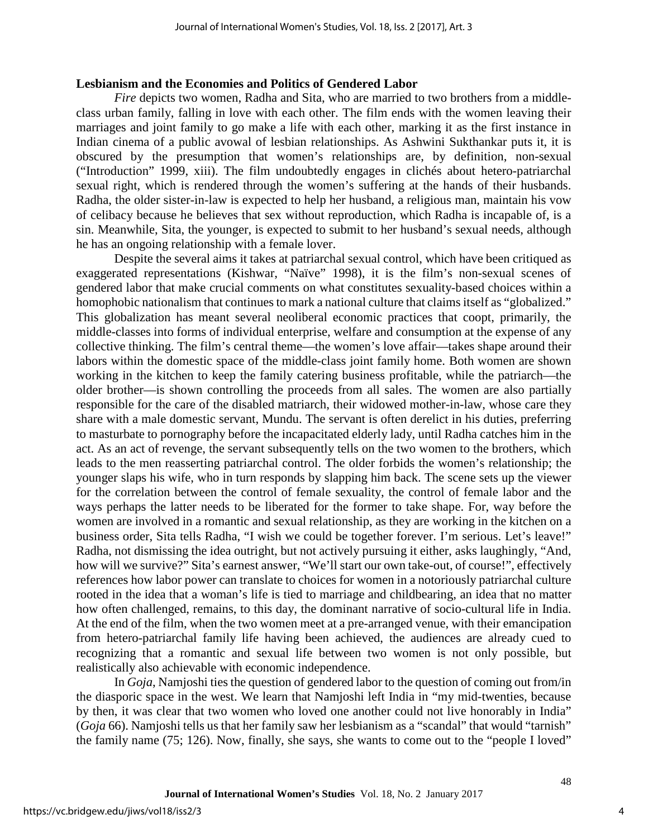#### **Lesbianism and the Economies and Politics of Gendered Labor**

*Fire* depicts two women, Radha and Sita, who are married to two brothers from a middleclass urban family, falling in love with each other. The film ends with the women leaving their marriages and joint family to go make a life with each other, marking it as the first instance in Indian cinema of a public avowal of lesbian relationships. As Ashwini Sukthankar puts it, it is obscured by the presumption that women's relationships are, by definition, non-sexual ("Introduction" 1999, xiii). The film undoubtedly engages in clichés about hetero-patriarchal sexual right, which is rendered through the women's suffering at the hands of their husbands. Radha, the older sister-in-law is expected to help her husband, a religious man, maintain his vow of celibacy because he believes that sex without reproduction, which Radha is incapable of, is a sin. Meanwhile, Sita, the younger, is expected to submit to her husband's sexual needs, although he has an ongoing relationship with a female lover.

Despite the several aims it takes at patriarchal sexual control, which have been critiqued as exaggerated representations (Kishwar, "Naïve" 1998), it is the film's non-sexual scenes of gendered labor that make crucial comments on what constitutes sexuality-based choices within a homophobic nationalism that continues to mark a national culture that claims itself as "globalized." This globalization has meant several neoliberal economic practices that coopt, primarily, the middle-classes into forms of individual enterprise, welfare and consumption at the expense of any collective thinking. The film's central theme—the women's love affair—takes shape around their labors within the domestic space of the middle-class joint family home. Both women are shown working in the kitchen to keep the family catering business profitable, while the patriarch—the older brother—is shown controlling the proceeds from all sales. The women are also partially responsible for the care of the disabled matriarch, their widowed mother-in-law, whose care they share with a male domestic servant, Mundu. The servant is often derelict in his duties, preferring to masturbate to pornography before the incapacitated elderly lady, until Radha catches him in the act. As an act of revenge, the servant subsequently tells on the two women to the brothers, which leads to the men reasserting patriarchal control. The older forbids the women's relationship; the younger slaps his wife, who in turn responds by slapping him back. The scene sets up the viewer for the correlation between the control of female sexuality, the control of female labor and the ways perhaps the latter needs to be liberated for the former to take shape. For, way before the women are involved in a romantic and sexual relationship, as they are working in the kitchen on a business order, Sita tells Radha, "I wish we could be together forever. I'm serious. Let's leave!" Radha, not dismissing the idea outright, but not actively pursuing it either, asks laughingly, "And, how will we survive?" Sita's earnest answer, "We'll start our own take-out, of course!", effectively references how labor power can translate to choices for women in a notoriously patriarchal culture rooted in the idea that a woman's life is tied to marriage and childbearing, an idea that no matter how often challenged, remains, to this day, the dominant narrative of socio-cultural life in India. At the end of the film, when the two women meet at a pre-arranged venue, with their emancipation from hetero-patriarchal family life having been achieved, the audiences are already cued to recognizing that a romantic and sexual life between two women is not only possible, but realistically also achievable with economic independence.

In *Goja*, Namjoshi ties the question of gendered labor to the question of coming out from/in the diasporic space in the west. We learn that Namjoshi left India in "my mid-twenties, because by then, it was clear that two women who loved one another could not live honorably in India" (*Goja* 66). Namjoshi tells us that her family saw her lesbianism as a "scandal" that would "tarnish" the family name (75; 126). Now, finally, she says, she wants to come out to the "people I loved"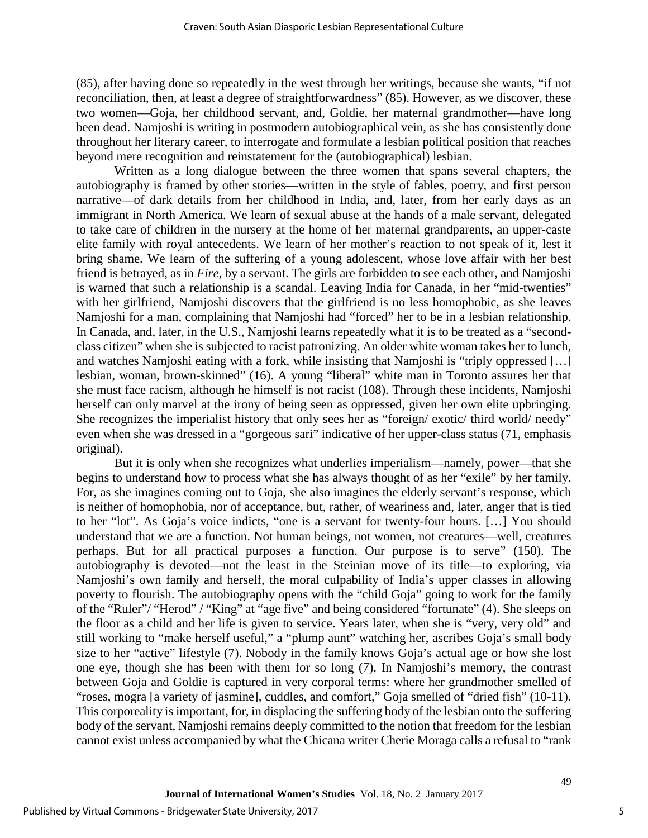(85), after having done so repeatedly in the west through her writings, because she wants, "if not reconciliation, then, at least a degree of straightforwardness" (85). However, as we discover, these two women—Goja, her childhood servant, and, Goldie, her maternal grandmother—have long been dead. Namjoshi is writing in postmodern autobiographical vein, as she has consistently done throughout her literary career, to interrogate and formulate a lesbian political position that reaches beyond mere recognition and reinstatement for the (autobiographical) lesbian.

Written as a long dialogue between the three women that spans several chapters, the autobiography is framed by other stories—written in the style of fables, poetry, and first person narrative—of dark details from her childhood in India, and, later, from her early days as an immigrant in North America. We learn of sexual abuse at the hands of a male servant, delegated to take care of children in the nursery at the home of her maternal grandparents, an upper-caste elite family with royal antecedents. We learn of her mother's reaction to not speak of it, lest it bring shame. We learn of the suffering of a young adolescent, whose love affair with her best friend is betrayed, as in *Fire*, by a servant. The girls are forbidden to see each other, and Namjoshi is warned that such a relationship is a scandal. Leaving India for Canada, in her "mid-twenties" with her girlfriend, Namjoshi discovers that the girlfriend is no less homophobic, as she leaves Namjoshi for a man, complaining that Namjoshi had "forced" her to be in a lesbian relationship. In Canada, and, later, in the U.S., Namjoshi learns repeatedly what it is to be treated as a "secondclass citizen" when she is subjected to racist patronizing. An older white woman takes her to lunch, and watches Namjoshi eating with a fork, while insisting that Namjoshi is "triply oppressed […] lesbian, woman, brown-skinned" (16). A young "liberal" white man in Toronto assures her that she must face racism, although he himself is not racist (108). Through these incidents, Namjoshi herself can only marvel at the irony of being seen as oppressed, given her own elite upbringing. She recognizes the imperialist history that only sees her as "foreign/ exotic/ third world/ needy" even when she was dressed in a "gorgeous sari" indicative of her upper-class status (71, emphasis original).

But it is only when she recognizes what underlies imperialism—namely, power—that she begins to understand how to process what she has always thought of as her "exile" by her family. For, as she imagines coming out to Goja, she also imagines the elderly servant's response, which is neither of homophobia, nor of acceptance, but, rather, of weariness and, later, anger that is tied to her "lot". As Goja's voice indicts, "one is a servant for twenty-four hours. […] You should understand that we are a function. Not human beings, not women, not creatures—well, creatures perhaps. But for all practical purposes a function. Our purpose is to serve" (150). The autobiography is devoted—not the least in the Steinian move of its title—to exploring, via Namjoshi's own family and herself, the moral culpability of India's upper classes in allowing poverty to flourish. The autobiography opens with the "child Goja" going to work for the family of the "Ruler"/ "Herod" / "King" at "age five" and being considered "fortunate" (4). She sleeps on the floor as a child and her life is given to service. Years later, when she is "very, very old" and still working to "make herself useful," a "plump aunt" watching her, ascribes Goja's small body size to her "active" lifestyle (7). Nobody in the family knows Goja's actual age or how she lost one eye, though she has been with them for so long (7). In Namjoshi's memory, the contrast between Goja and Goldie is captured in very corporal terms: where her grandmother smelled of "roses, mogra [a variety of jasmine], cuddles, and comfort," Goja smelled of "dried fish" (10-11). This corporeality is important, for, in displacing the suffering body of the lesbian onto the suffering body of the servant, Namjoshi remains deeply committed to the notion that freedom for the lesbian cannot exist unless accompanied by what the Chicana writer Cherie Moraga calls a refusal to "rank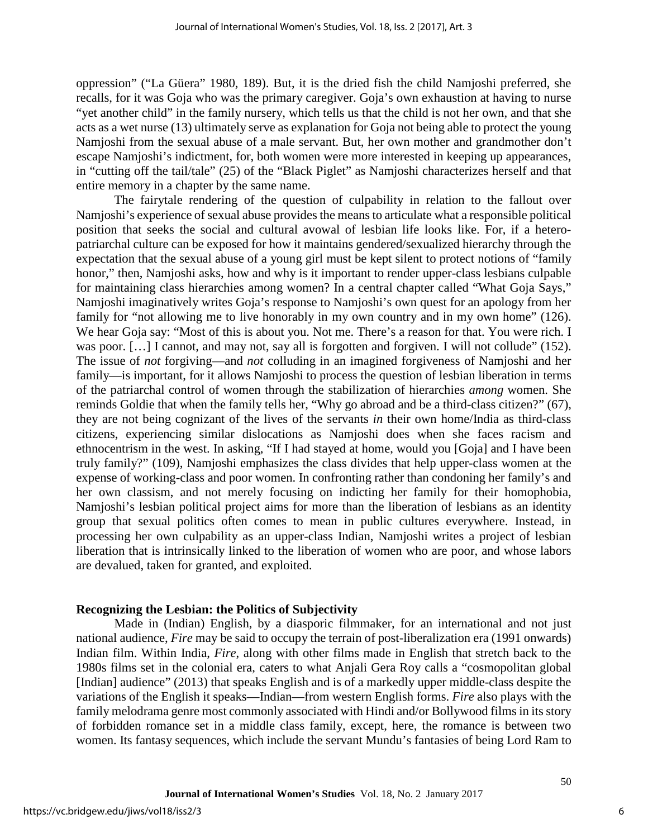oppression" ("La Güera" 1980, 189). But, it is the dried fish the child Namjoshi preferred, she recalls, for it was Goja who was the primary caregiver. Goja's own exhaustion at having to nurse "yet another child" in the family nursery, which tells us that the child is not her own, and that she acts as a wet nurse (13) ultimately serve as explanation for Goja not being able to protect the young Namjoshi from the sexual abuse of a male servant. But, her own mother and grandmother don't escape Namjoshi's indictment, for, both women were more interested in keeping up appearances, in "cutting off the tail/tale" (25) of the "Black Piglet" as Namjoshi characterizes herself and that entire memory in a chapter by the same name.

The fairytale rendering of the question of culpability in relation to the fallout over Namjoshi's experience of sexual abuse provides the means to articulate what a responsible political position that seeks the social and cultural avowal of lesbian life looks like. For, if a heteropatriarchal culture can be exposed for how it maintains gendered/sexualized hierarchy through the expectation that the sexual abuse of a young girl must be kept silent to protect notions of "family honor," then, Namjoshi asks, how and why is it important to render upper-class lesbians culpable for maintaining class hierarchies among women? In a central chapter called "What Goja Says," Namjoshi imaginatively writes Goja's response to Namjoshi's own quest for an apology from her family for "not allowing me to live honorably in my own country and in my own home" (126). We hear Goja say: "Most of this is about you. Not me. There's a reason for that. You were rich. I was poor. [...] I cannot, and may not, say all is forgotten and forgiven. I will not collude" (152). The issue of *not* forgiving—and *not* colluding in an imagined forgiveness of Namjoshi and her family—is important, for it allows Namjoshi to process the question of lesbian liberation in terms of the patriarchal control of women through the stabilization of hierarchies *among* women. She reminds Goldie that when the family tells her, "Why go abroad and be a third-class citizen?" (67), they are not being cognizant of the lives of the servants *in* their own home/India as third-class citizens, experiencing similar dislocations as Namjoshi does when she faces racism and ethnocentrism in the west. In asking, "If I had stayed at home, would you [Goja] and I have been truly family?" (109), Namjoshi emphasizes the class divides that help upper-class women at the expense of working-class and poor women. In confronting rather than condoning her family's and her own classism, and not merely focusing on indicting her family for their homophobia, Namjoshi's lesbian political project aims for more than the liberation of lesbians as an identity group that sexual politics often comes to mean in public cultures everywhere. Instead, in processing her own culpability as an upper-class Indian, Namjoshi writes a project of lesbian liberation that is intrinsically linked to the liberation of women who are poor, and whose labors are devalued, taken for granted, and exploited.

#### **Recognizing the Lesbian: the Politics of Subjectivity**

Made in (Indian) English, by a diasporic filmmaker, for an international and not just national audience, *Fire* may be said to occupy the terrain of post-liberalization era (1991 onwards) Indian film. Within India, *Fire*, along with other films made in English that stretch back to the 1980s films set in the colonial era, caters to what Anjali Gera Roy calls a "cosmopolitan global [Indian] audience" (2013) that speaks English and is of a markedly upper middle-class despite the variations of the English it speaks—Indian—from western English forms. *Fire* also plays with the family melodrama genre most commonly associated with Hindi and/or Bollywood films in its story of forbidden romance set in a middle class family, except, here, the romance is between two women. Its fantasy sequences, which include the servant Mundu's fantasies of being Lord Ram to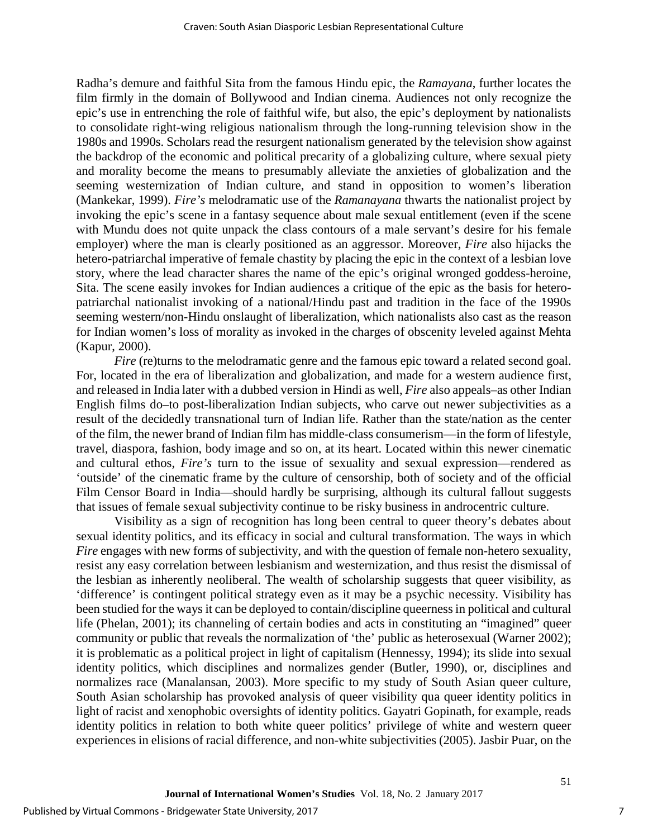Radha's demure and faithful Sita from the famous Hindu epic, the *Ramayana*, further locates the film firmly in the domain of Bollywood and Indian cinema. Audiences not only recognize the epic's use in entrenching the role of faithful wife, but also, the epic's deployment by nationalists to consolidate right-wing religious nationalism through the long-running television show in the 1980s and 1990s. Scholars read the resurgent nationalism generated by the television show against the backdrop of the economic and political precarity of a globalizing culture, where sexual piety and morality become the means to presumably alleviate the anxieties of globalization and the seeming westernization of Indian culture, and stand in opposition to women's liberation (Mankekar, 1999). *Fire's* melodramatic use of the *Ramanayana* thwarts the nationalist project by invoking the epic's scene in a fantasy sequence about male sexual entitlement (even if the scene with Mundu does not quite unpack the class contours of a male servant's desire for his female employer) where the man is clearly positioned as an aggressor. Moreover, *Fire* also hijacks the hetero-patriarchal imperative of female chastity by placing the epic in the context of a lesbian love story, where the lead character shares the name of the epic's original wronged goddess-heroine, Sita. The scene easily invokes for Indian audiences a critique of the epic as the basis for heteropatriarchal nationalist invoking of a national/Hindu past and tradition in the face of the 1990s seeming western/non-Hindu onslaught of liberalization, which nationalists also cast as the reason for Indian women's loss of morality as invoked in the charges of obscenity leveled against Mehta (Kapur, 2000).

*Fire* (re)turns to the melodramatic genre and the famous epic toward a related second goal. For, located in the era of liberalization and globalization, and made for a western audience first, and released in India later with a dubbed version in Hindi as well, *Fire* also appeals–as other Indian English films do–to post-liberalization Indian subjects, who carve out newer subjectivities as a result of the decidedly transnational turn of Indian life. Rather than the state/nation as the center of the film, the newer brand of Indian film has middle-class consumerism—in the form of lifestyle, travel, diaspora, fashion, body image and so on, at its heart. Located within this newer cinematic and cultural ethos, *Fire's* turn to the issue of sexuality and sexual expression—rendered as 'outside' of the cinematic frame by the culture of censorship, both of society and of the official Film Censor Board in India—should hardly be surprising, although its cultural fallout suggests that issues of female sexual subjectivity continue to be risky business in androcentric culture.

Visibility as a sign of recognition has long been central to queer theory's debates about sexual identity politics, and its efficacy in social and cultural transformation. The ways in which *Fire* engages with new forms of subjectivity, and with the question of female non-hetero sexuality, resist any easy correlation between lesbianism and westernization, and thus resist the dismissal of the lesbian as inherently neoliberal. The wealth of scholarship suggests that queer visibility, as 'difference' is contingent political strategy even as it may be a psychic necessity. Visibility has been studied for the ways it can be deployed to contain/discipline queerness in political and cultural life (Phelan, 2001); its channeling of certain bodies and acts in constituting an "imagined" queer community or public that reveals the normalization of 'the' public as heterosexual (Warner 2002); it is problematic as a political project in light of capitalism (Hennessy, 1994); its slide into sexual identity politics, which disciplines and normalizes gender (Butler, 1990), or, disciplines and normalizes race (Manalansan, 2003). More specific to my study of South Asian queer culture, South Asian scholarship has provoked analysis of queer visibility qua queer identity politics in light of racist and xenophobic oversights of identity politics. Gayatri Gopinath, for example, reads identity politics in relation to both white queer politics' privilege of white and western queer experiences in elisions of racial difference, and non-white subjectivities (2005). Jasbir Puar, on the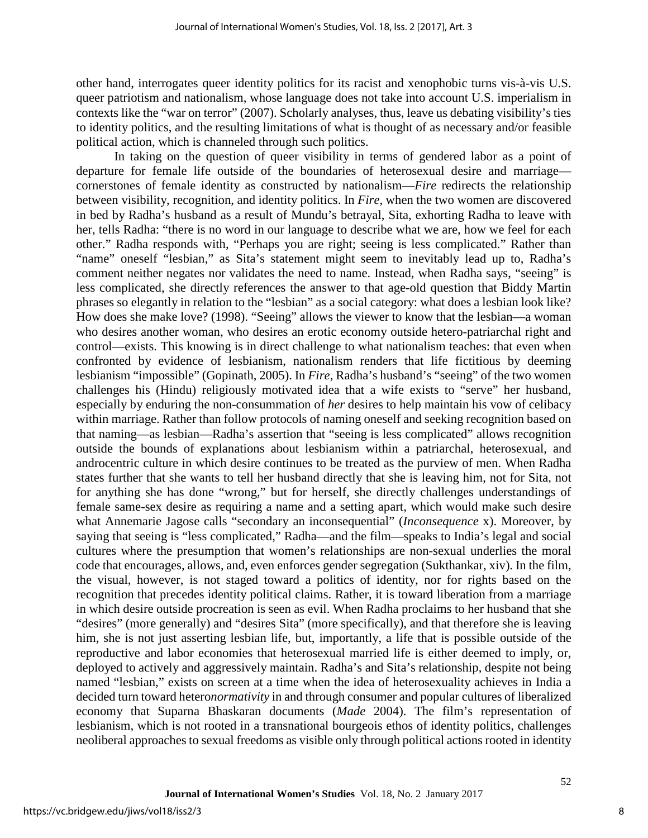other hand, interrogates queer identity politics for its racist and xenophobic turns vis-à-vis U.S. queer patriotism and nationalism, whose language does not take into account U.S. imperialism in contexts like the "war on terror" (2007). Scholarly analyses, thus, leave us debating visibility's ties to identity politics, and the resulting limitations of what is thought of as necessary and/or feasible political action, which is channeled through such politics.

In taking on the question of queer visibility in terms of gendered labor as a point of departure for female life outside of the boundaries of heterosexual desire and marriage cornerstones of female identity as constructed by nationalism—*Fire* redirects the relationship between visibility, recognition, and identity politics. In *Fire*, when the two women are discovered in bed by Radha's husband as a result of Mundu's betrayal, Sita, exhorting Radha to leave with her, tells Radha: "there is no word in our language to describe what we are, how we feel for each other." Radha responds with, "Perhaps you are right; seeing is less complicated." Rather than "name" oneself "lesbian," as Sita's statement might seem to inevitably lead up to, Radha's comment neither negates nor validates the need to name. Instead, when Radha says, "seeing" is less complicated, she directly references the answer to that age-old question that Biddy Martin phrases so elegantly in relation to the "lesbian" as a social category: what does a lesbian look like? How does she make love? (1998). "Seeing" allows the viewer to know that the lesbian—a woman who desires another woman, who desires an erotic economy outside hetero-patriarchal right and control—exists. This knowing is in direct challenge to what nationalism teaches: that even when confronted by evidence of lesbianism, nationalism renders that life fictitious by deeming lesbianism "impossible" (Gopinath, 2005). In *Fire*, Radha's husband's "seeing" of the two women challenges his (Hindu) religiously motivated idea that a wife exists to "serve" her husband, especially by enduring the non-consummation of *her* desires to help maintain his vow of celibacy within marriage. Rather than follow protocols of naming oneself and seeking recognition based on that naming—as lesbian—Radha's assertion that "seeing is less complicated" allows recognition outside the bounds of explanations about lesbianism within a patriarchal, heterosexual, and androcentric culture in which desire continues to be treated as the purview of men. When Radha states further that she wants to tell her husband directly that she is leaving him, not for Sita, not for anything she has done "wrong," but for herself, she directly challenges understandings of female same-sex desire as requiring a name and a setting apart, which would make such desire what Annemarie Jagose calls "secondary an inconsequential" (*Inconsequence* x). Moreover, by saying that seeing is "less complicated," Radha—and the film—speaks to India's legal and social cultures where the presumption that women's relationships are non-sexual underlies the moral code that encourages, allows, and, even enforces gender segregation (Sukthankar, xiv). In the film, the visual, however, is not staged toward a politics of identity, nor for rights based on the recognition that precedes identity political claims. Rather, it is toward liberation from a marriage in which desire outside procreation is seen as evil. When Radha proclaims to her husband that she "desires" (more generally) and "desires Sita" (more specifically), and that therefore she is leaving him, she is not just asserting lesbian life, but, importantly, a life that is possible outside of the reproductive and labor economies that heterosexual married life is either deemed to imply, or, deployed to actively and aggressively maintain. Radha's and Sita's relationship, despite not being named "lesbian," exists on screen at a time when the idea of heterosexuality achieves in India a decided turn toward hetero*normativity* in and through consumer and popular cultures of liberalized economy that Suparna Bhaskaran documents (*Made* 2004). The film's representation of lesbianism, which is not rooted in a transnational bourgeois ethos of identity politics, challenges neoliberal approaches to sexual freedoms as visible only through political actions rooted in identity

8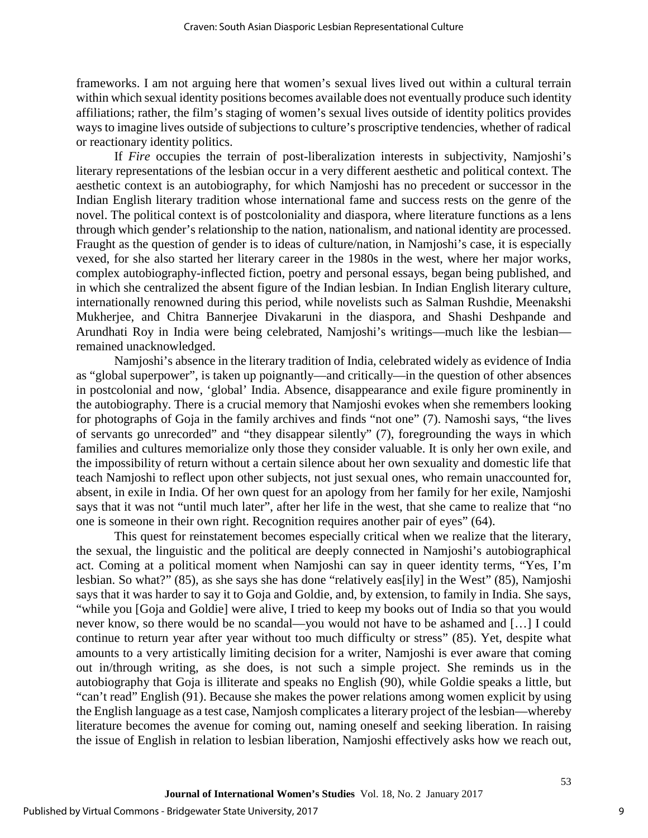frameworks. I am not arguing here that women's sexual lives lived out within a cultural terrain within which sexual identity positions becomes available does not eventually produce such identity affiliations; rather, the film's staging of women's sexual lives outside of identity politics provides ways to imagine lives outside of subjections to culture's proscriptive tendencies, whether of radical or reactionary identity politics.

If *Fire* occupies the terrain of post-liberalization interests in subjectivity, Namjoshi's literary representations of the lesbian occur in a very different aesthetic and political context. The aesthetic context is an autobiography, for which Namjoshi has no precedent or successor in the Indian English literary tradition whose international fame and success rests on the genre of the novel. The political context is of postcoloniality and diaspora, where literature functions as a lens through which gender's relationship to the nation, nationalism, and national identity are processed. Fraught as the question of gender is to ideas of culture/nation, in Namjoshi's case, it is especially vexed, for she also started her literary career in the 1980s in the west, where her major works, complex autobiography-inflected fiction, poetry and personal essays, began being published, and in which she centralized the absent figure of the Indian lesbian. In Indian English literary culture, internationally renowned during this period, while novelists such as Salman Rushdie, Meenakshi Mukherjee, and Chitra Bannerjee Divakaruni in the diaspora, and Shashi Deshpande and Arundhati Roy in India were being celebrated, Namjoshi's writings—much like the lesbian remained unacknowledged.

Namjoshi's absence in the literary tradition of India, celebrated widely as evidence of India as "global superpower", is taken up poignantly—and critically—in the question of other absences in postcolonial and now, 'global' India. Absence, disappearance and exile figure prominently in the autobiography. There is a crucial memory that Namjoshi evokes when she remembers looking for photographs of Goja in the family archives and finds "not one" (7). Namoshi says, "the lives of servants go unrecorded" and "they disappear silently" (7), foregrounding the ways in which families and cultures memorialize only those they consider valuable. It is only her own exile, and the impossibility of return without a certain silence about her own sexuality and domestic life that teach Namjoshi to reflect upon other subjects, not just sexual ones, who remain unaccounted for, absent, in exile in India. Of her own quest for an apology from her family for her exile, Namjoshi says that it was not "until much later", after her life in the west, that she came to realize that "no one is someone in their own right. Recognition requires another pair of eyes" (64).

This quest for reinstatement becomes especially critical when we realize that the literary, the sexual, the linguistic and the political are deeply connected in Namjoshi's autobiographical act. Coming at a political moment when Namjoshi can say in queer identity terms, "Yes, I'm lesbian. So what?" (85), as she says she has done "relatively eas[ily] in the West" (85), Namjoshi says that it was harder to say it to Goja and Goldie, and, by extension, to family in India. She says, "while you [Goja and Goldie] were alive, I tried to keep my books out of India so that you would never know, so there would be no scandal—you would not have to be ashamed and […] I could continue to return year after year without too much difficulty or stress" (85). Yet, despite what amounts to a very artistically limiting decision for a writer, Namjoshi is ever aware that coming out in/through writing, as she does, is not such a simple project. She reminds us in the autobiography that Goja is illiterate and speaks no English (90), while Goldie speaks a little, but "can't read" English (91). Because she makes the power relations among women explicit by using the English language as a test case, Namjosh complicates a literary project of the lesbian—whereby literature becomes the avenue for coming out, naming oneself and seeking liberation. In raising the issue of English in relation to lesbian liberation, Namjoshi effectively asks how we reach out,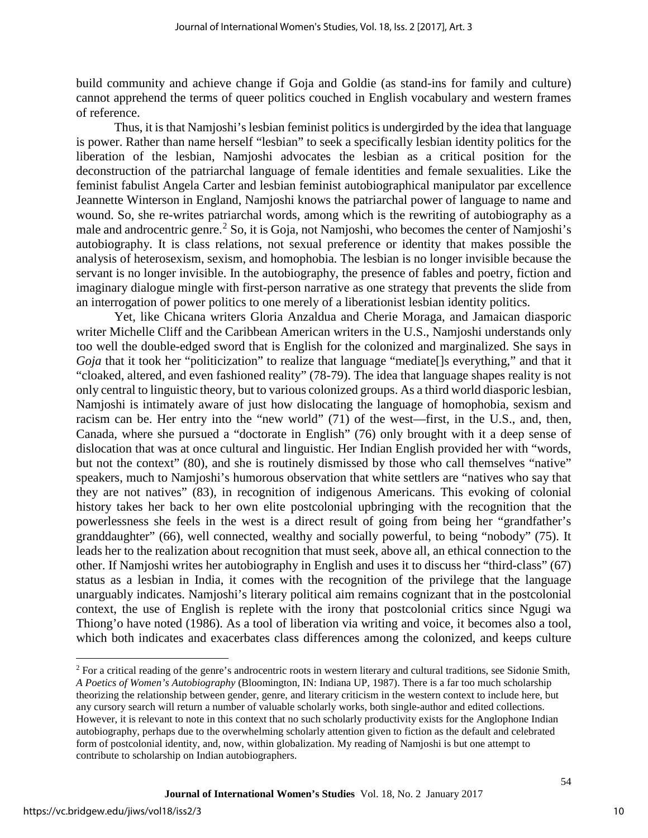build community and achieve change if Goja and Goldie (as stand-ins for family and culture) cannot apprehend the terms of queer politics couched in English vocabulary and western frames of reference.

Thus, it is that Namjoshi's lesbian feminist politics is undergirded by the idea that language is power. Rather than name herself "lesbian" to seek a specifically lesbian identity politics for the liberation of the lesbian, Namjoshi advocates the lesbian as a critical position for the deconstruction of the patriarchal language of female identities and female sexualities. Like the feminist fabulist Angela Carter and lesbian feminist autobiographical manipulator par excellence Jeannette Winterson in England, Namjoshi knows the patriarchal power of language to name and wound. So, she re-writes patriarchal words, among which is the rewriting of autobiography as a male and androcentric genre.<sup>[2](#page-10-0)</sup> So, it is Goja, not Namjoshi, who becomes the center of Namjoshi's autobiography. It is class relations, not sexual preference or identity that makes possible the analysis of heterosexism, sexism, and homophobia. The lesbian is no longer invisible because the servant is no longer invisible. In the autobiography, the presence of fables and poetry, fiction and imaginary dialogue mingle with first-person narrative as one strategy that prevents the slide from an interrogation of power politics to one merely of a liberationist lesbian identity politics.

Yet, like Chicana writers Gloria Anzaldua and Cherie Moraga, and Jamaican diasporic writer Michelle Cliff and the Caribbean American writers in the U.S., Namjoshi understands only too well the double-edged sword that is English for the colonized and marginalized. She says in *Goja* that it took her "politicization" to realize that language "mediate[]s everything," and that it "cloaked, altered, and even fashioned reality" (78-79). The idea that language shapes reality is not only central to linguistic theory, but to various colonized groups. As a third world diasporic lesbian, Namjoshi is intimately aware of just how dislocating the language of homophobia, sexism and racism can be. Her entry into the "new world" (71) of the west—first, in the U.S., and, then, Canada, where she pursued a "doctorate in English" (76) only brought with it a deep sense of dislocation that was at once cultural and linguistic. Her Indian English provided her with "words, but not the context" (80), and she is routinely dismissed by those who call themselves "native" speakers, much to Namjoshi's humorous observation that white settlers are "natives who say that they are not natives" (83), in recognition of indigenous Americans. This evoking of colonial history takes her back to her own elite postcolonial upbringing with the recognition that the powerlessness she feels in the west is a direct result of going from being her "grandfather's granddaughter" (66), well connected, wealthy and socially powerful, to being "nobody" (75). It leads her to the realization about recognition that must seek, above all, an ethical connection to the other. If Namjoshi writes her autobiography in English and uses it to discuss her "third-class" (67) status as a lesbian in India, it comes with the recognition of the privilege that the language unarguably indicates. Namjoshi's literary political aim remains cognizant that in the postcolonial context, the use of English is replete with the irony that postcolonial critics since Ngugi wa Thiong'o have noted (1986). As a tool of liberation via writing and voice, it becomes also a tool, which both indicates and exacerbates class differences among the colonized, and keeps culture

 $\overline{a}$ 

<span id="page-10-0"></span> $2$  For a critical reading of the genre's androcentric roots in western literary and cultural traditions, see Sidonie Smith, *A Poetics of Women's Autobiography* (Bloomington, IN: Indiana UP, 1987). There is a far too much scholarship theorizing the relationship between gender, genre, and literary criticism in the western context to include here, but any cursory search will return a number of valuable scholarly works, both single-author and edited collections. However, it is relevant to note in this context that no such scholarly productivity exists for the Anglophone Indian autobiography, perhaps due to the overwhelming scholarly attention given to fiction as the default and celebrated form of postcolonial identity, and, now, within globalization. My reading of Namjoshi is but one attempt to contribute to scholarship on Indian autobiographers.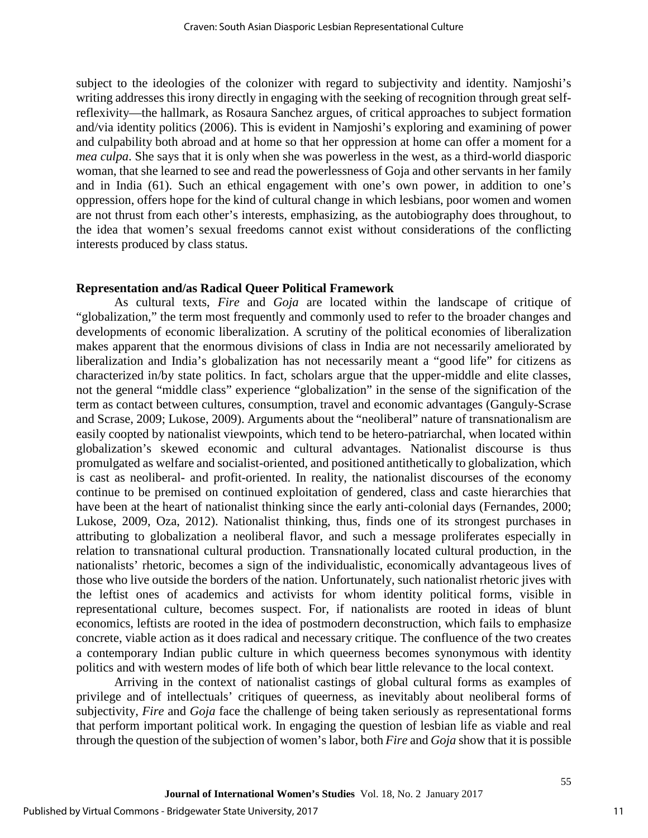subject to the ideologies of the colonizer with regard to subjectivity and identity. Namjoshi's writing addresses this irony directly in engaging with the seeking of recognition through great selfreflexivity—the hallmark, as Rosaura Sanchez argues, of critical approaches to subject formation and/via identity politics (2006). This is evident in Namjoshi's exploring and examining of power and culpability both abroad and at home so that her oppression at home can offer a moment for a *mea culpa*. She says that it is only when she was powerless in the west, as a third-world diasporic woman, that she learned to see and read the powerlessness of Goja and other servants in her family and in India (61). Such an ethical engagement with one's own power, in addition to one's oppression, offers hope for the kind of cultural change in which lesbians, poor women and women are not thrust from each other's interests, emphasizing, as the autobiography does throughout, to the idea that women's sexual freedoms cannot exist without considerations of the conflicting interests produced by class status.

#### **Representation and/as Radical Queer Political Framework**

As cultural texts, *Fire* and *Goja* are located within the landscape of critique of "globalization," the term most frequently and commonly used to refer to the broader changes and developments of economic liberalization. A scrutiny of the political economies of liberalization makes apparent that the enormous divisions of class in India are not necessarily ameliorated by liberalization and India's globalization has not necessarily meant a "good life" for citizens as characterized in/by state politics. In fact, scholars argue that the upper-middle and elite classes, not the general "middle class" experience "globalization" in the sense of the signification of the term as contact between cultures, consumption, travel and economic advantages (Ganguly-Scrase and Scrase, 2009; Lukose, 2009). Arguments about the "neoliberal" nature of transnationalism are easily coopted by nationalist viewpoints, which tend to be hetero-patriarchal, when located within globalization's skewed economic and cultural advantages. Nationalist discourse is thus promulgated as welfare and socialist-oriented, and positioned antithetically to globalization, which is cast as neoliberal- and profit-oriented. In reality, the nationalist discourses of the economy continue to be premised on continued exploitation of gendered, class and caste hierarchies that have been at the heart of nationalist thinking since the early anti-colonial days (Fernandes, 2000; Lukose, 2009, Oza, 2012). Nationalist thinking, thus, finds one of its strongest purchases in attributing to globalization a neoliberal flavor, and such a message proliferates especially in relation to transnational cultural production. Transnationally located cultural production, in the nationalists' rhetoric, becomes a sign of the individualistic, economically advantageous lives of those who live outside the borders of the nation. Unfortunately, such nationalist rhetoric jives with the leftist ones of academics and activists for whom identity political forms, visible in representational culture, becomes suspect. For, if nationalists are rooted in ideas of blunt economics, leftists are rooted in the idea of postmodern deconstruction, which fails to emphasize concrete, viable action as it does radical and necessary critique. The confluence of the two creates a contemporary Indian public culture in which queerness becomes synonymous with identity politics and with western modes of life both of which bear little relevance to the local context.

Arriving in the context of nationalist castings of global cultural forms as examples of privilege and of intellectuals' critiques of queerness, as inevitably about neoliberal forms of subjectivity, *Fire* and *Goja* face the challenge of being taken seriously as representational forms that perform important political work. In engaging the question of lesbian life as viable and real through the question of the subjection of women's labor, both *Fire* and *Goja* show that it is possible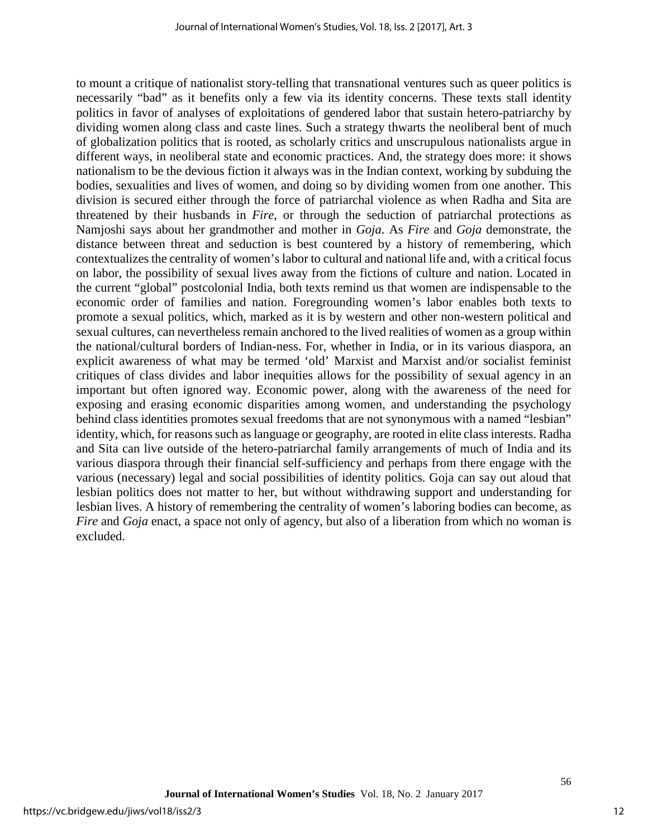to mount a critique of nationalist story-telling that transnational ventures such as queer politics is necessarily "bad" as it benefits only a few via its identity concerns. These texts stall identity politics in favor of analyses of exploitations of gendered labor that sustain hetero-patriarchy by dividing women along class and caste lines. Such a strategy thwarts the neoliberal bent of much of globalization politics that is rooted, as scholarly critics and unscrupulous nationalists argue in different ways, in neoliberal state and economic practices. And, the strategy does more: it shows nationalism to be the devious fiction it always was in the Indian context, working by subduing the bodies, sexualities and lives of women, and doing so by dividing women from one another. This division is secured either through the force of patriarchal violence as when Radha and Sita are threatened by their husbands in *Fire*, or through the seduction of patriarchal protections as Namjoshi says about her grandmother and mother in *Goja*. As *Fire* and *Goja* demonstrate, the distance between threat and seduction is best countered by a history of remembering, which contextualizes the centrality of women's labor to cultural and national life and, with a critical focus on labor, the possibility of sexual lives away from the fictions of culture and nation. Located in the current "global" postcolonial India, both texts remind us that women are indispensable to the economic order of families and nation. Foregrounding women's labor enables both texts to promote a sexual politics, which, marked as it is by western and other non-western political and sexual cultures, can nevertheless remain anchored to the lived realities of women as a group within the national/cultural borders of Indian-ness. For, whether in India, or in its various diaspora, an explicit awareness of what may be termed 'old' Marxist and Marxist and/or socialist feminist critiques of class divides and labor inequities allows for the possibility of sexual agency in an important but often ignored way. Economic power, along with the awareness of the need for exposing and erasing economic disparities among women, and understanding the psychology behind class identities promotes sexual freedoms that are not synonymous with a named "lesbian" identity, which, for reasons such as language or geography, are rooted in elite class interests. Radha and Sita can live outside of the hetero-patriarchal family arrangements of much of India and its various diaspora through their financial self-sufficiency and perhaps from there engage with the various (necessary) legal and social possibilities of identity politics. Goja can say out aloud that lesbian politics does not matter to her, but without withdrawing support and understanding for lesbian lives. A history of remembering the centrality of women's laboring bodies can become, as *Fire* and *Goja* enact, a space not only of agency, but also of a liberation from which no woman is excluded.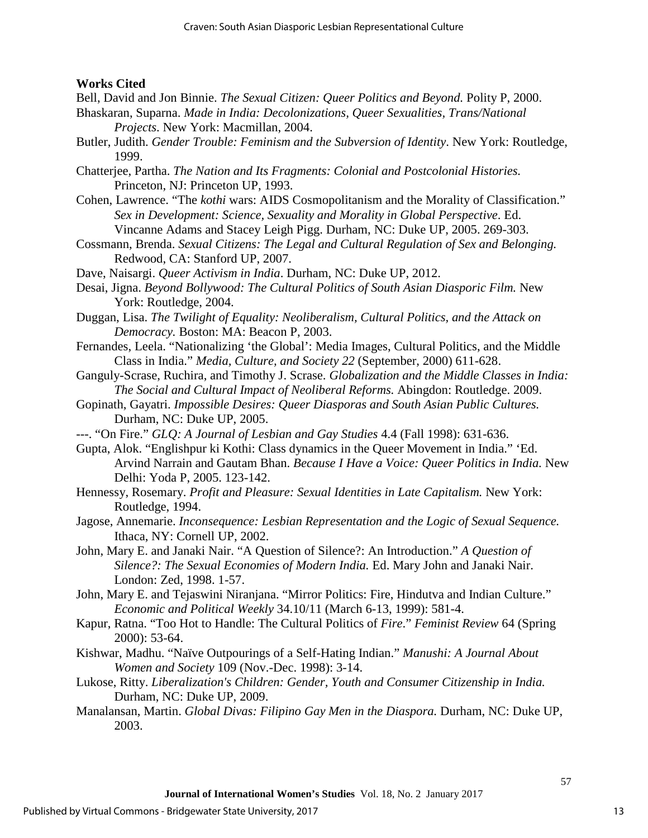#### **Works Cited**

Bell, David and Jon Binnie. *The Sexual Citizen: Queer Politics and Beyond.* Polity P, 2000.

- Bhaskaran, Suparna. *Made in India: Decolonizations, Queer Sexualities, Trans/National Projects*. New York: Macmillan, 2004.
- Butler, Judith. *Gender Trouble: Feminism and the Subversion of Identity*. New York: Routledge, 1999.
- Chatterjee, Partha. *The Nation and Its Fragments: Colonial and Postcolonial Histories.* Princeton, NJ: Princeton UP, 1993.
- Cohen, Lawrence. "The *kothi* wars: AIDS Cosmopolitanism and the Morality of Classification." *Sex in Development: Science, Sexuality and Morality in Global Perspective*. Ed. Vincanne Adams and Stacey Leigh Pigg. Durham, NC: Duke UP, 2005. 269-303.
- Cossmann, Brenda. *Sexual Citizens: The Legal and Cultural Regulation of Sex and Belonging.* Redwood, CA: Stanford UP, 2007.
- Dave, Naisargi. *Queer Activism in India*. Durham, NC: Duke UP, 2012.
- Desai, Jigna. *Beyond Bollywood: The Cultural Politics of South Asian Diasporic Film.* New York: Routledge, 2004.
- Duggan, Lisa. *The Twilight of Equality: Neoliberalism, Cultural Politics, and the Attack on Democracy.* Boston: MA: Beacon P, 2003.
- Fernandes, Leela. "Nationalizing 'the Global': Media Images, Cultural Politics, and the Middle Class in India." *Media, Culture, and Society 22* (September, 2000) 611-628.
- Ganguly-Scrase, Ruchira, and Timothy J. Scrase. *Globalization and the Middle Classes in India: The Social and Cultural Impact of Neoliberal Reforms.* Abingdon: Routledge. 2009.
- Gopinath, Gayatri. *Impossible Desires: Queer Diasporas and South Asian Public Cultures.*  Durham, NC: Duke UP, 2005.
- ---. "On Fire." *GLQ: A Journal of Lesbian and Gay Studies* 4.4 (Fall 1998): 631-636.
- Gupta, Alok. "Englishpur ki Kothi: Class dynamics in the Queer Movement in India." 'Ed. Arvind Narrain and Gautam Bhan. *Because I Have a Voice: Queer Politics in India.* New Delhi: Yoda P, 2005. 123-142.
- Hennessy, Rosemary. *Profit and Pleasure: Sexual Identities in Late Capitalism.* New York: Routledge, 1994.
- Jagose, Annemarie. *Inconsequence: Lesbian Representation and the Logic of Sexual Sequence.*  Ithaca, NY: Cornell UP, 2002.
- John, Mary E. and Janaki Nair. "A Question of Silence?: An Introduction." *A Question of Silence?: The Sexual Economies of Modern India.* Ed. Mary John and Janaki Nair. London: Zed, 1998. 1-57.
- John, Mary E. and Tejaswini Niranjana. "Mirror Politics: Fire, Hindutva and Indian Culture." *Economic and Political Weekly* 34.10/11 (March 6-13, 1999): 581-4.
- Kapur, Ratna. "Too Hot to Handle: The Cultural Politics of *Fire*." *Feminist Review* 64 (Spring 2000): 53-64.
- Kishwar, Madhu. "Naïve Outpourings of a Self-Hating Indian." *Manushi: A Journal About Women and Society* 109 (Nov.-Dec. 1998): 3-14.
- Lukose, Ritty. *Liberalization's Children: Gender, Youth and Consumer Citizenship in India.*  Durham, NC: Duke UP, 2009.
- Manalansan, Martin. *Global Divas: Filipino Gay Men in the Diaspora.* Durham, NC: Duke UP, 2003.